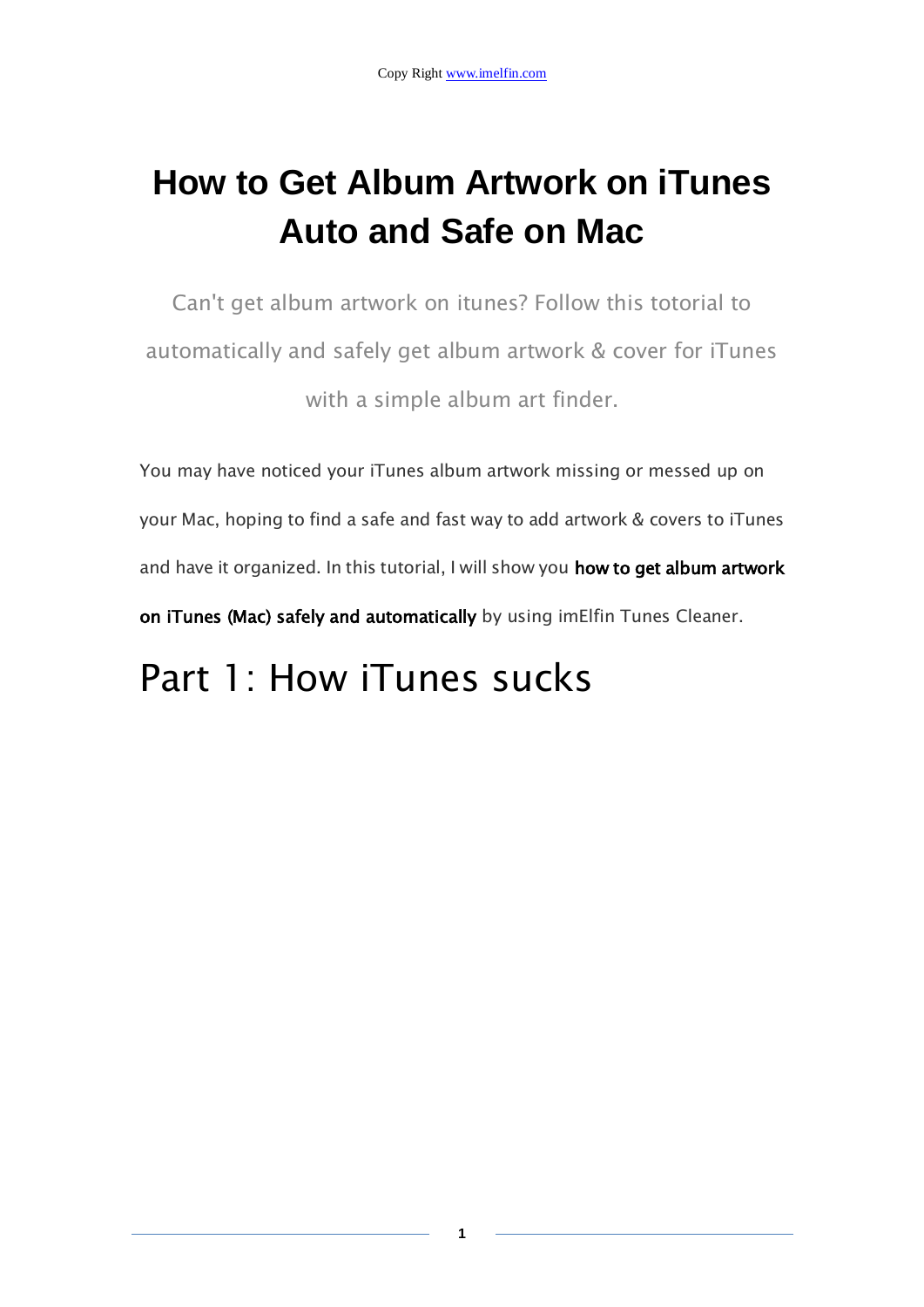### **How to Get Album Artwork on iTunes Auto and Safe on Mac**

Can't get album artwork on itunes? Follow this totorial to automatically and safely get album artwork & cover for iTunes with a simple album art finder.

You may have noticed your iTunes album artwork missing or messed up on your Mac, hoping to find a safe and fast way to add artwork & covers to iTunes and have it organized. In this tutorial, I will show you how to get album artwork on iTunes (Mac) safely and automatically by using imElfin Tunes Cleaner.

### Part 1: How iTunes sucks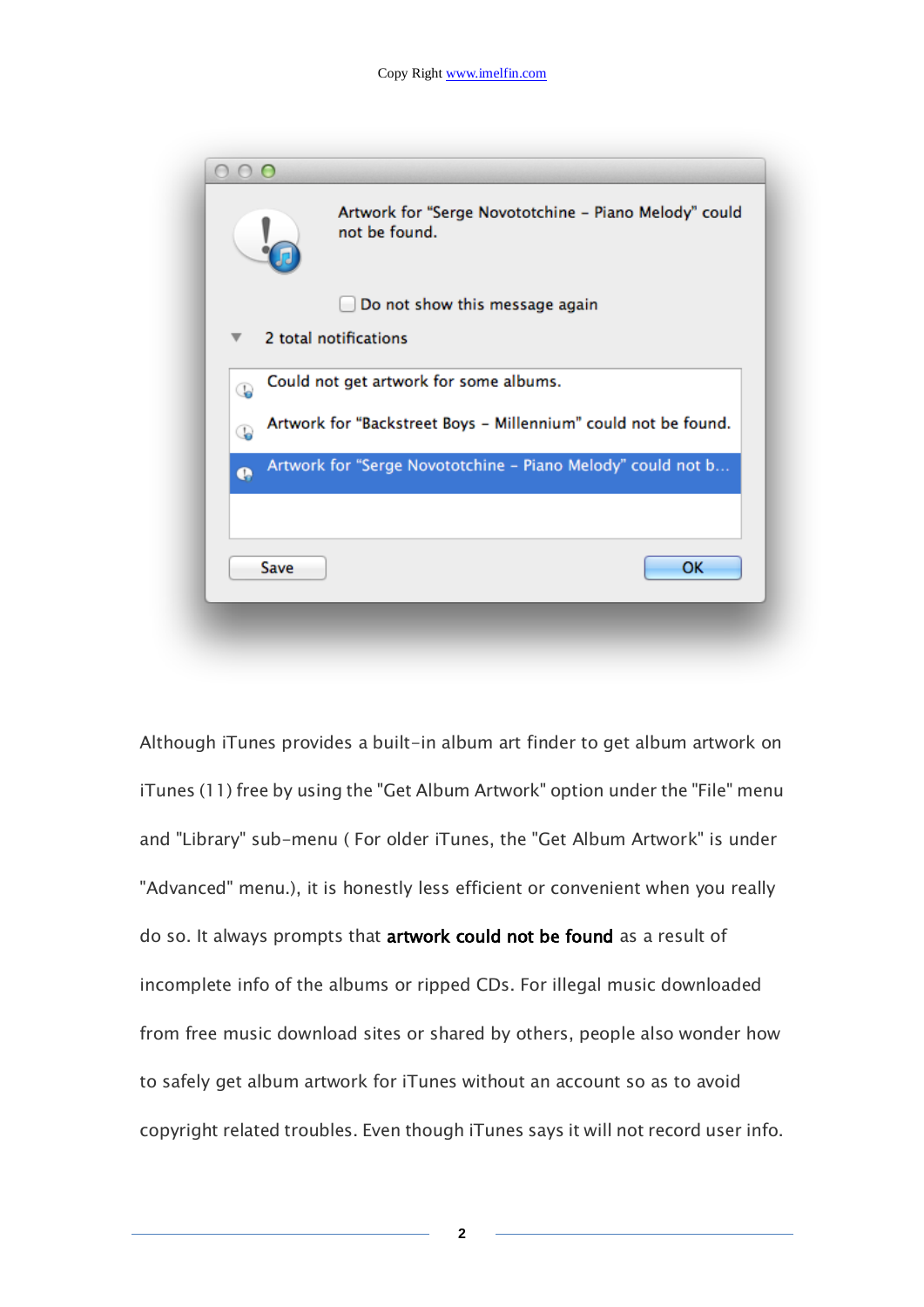| $\bigcap$ |                                                                        |
|-----------|------------------------------------------------------------------------|
|           | Artwork for "Serge Novototchine - Piano Melody" could<br>not be found. |
|           | Do not show this message again                                         |
|           | 2 total notifications                                                  |
| G         | Could not get artwork for some albums.                                 |
| Q         | Artwork for "Backstreet Boys - Millennium" could not be found.         |
| Ø         | Artwork for "Serge Novototchine - Piano Melody" could not b            |
| Save      | <b>OK</b>                                                              |
|           |                                                                        |

Although iTunes provides a built-in album art finder to get album artwork on iTunes (11) free by using the "Get Album Artwork" option under the "File" menu and "Library" sub-menu ( For older iTunes, the "Get Album Artwork" is under "Advanced" menu.), it is honestly less efficient or convenient when you really do so. It always prompts that artwork could not be found as a result of incomplete info of the albums or ripped CDs. For illegal music downloaded from free music download sites or shared by others, people also wonder how to safely get album artwork for iTunes without an account so as to avoid copyright related troubles. Even though iTunes says it will not record user info.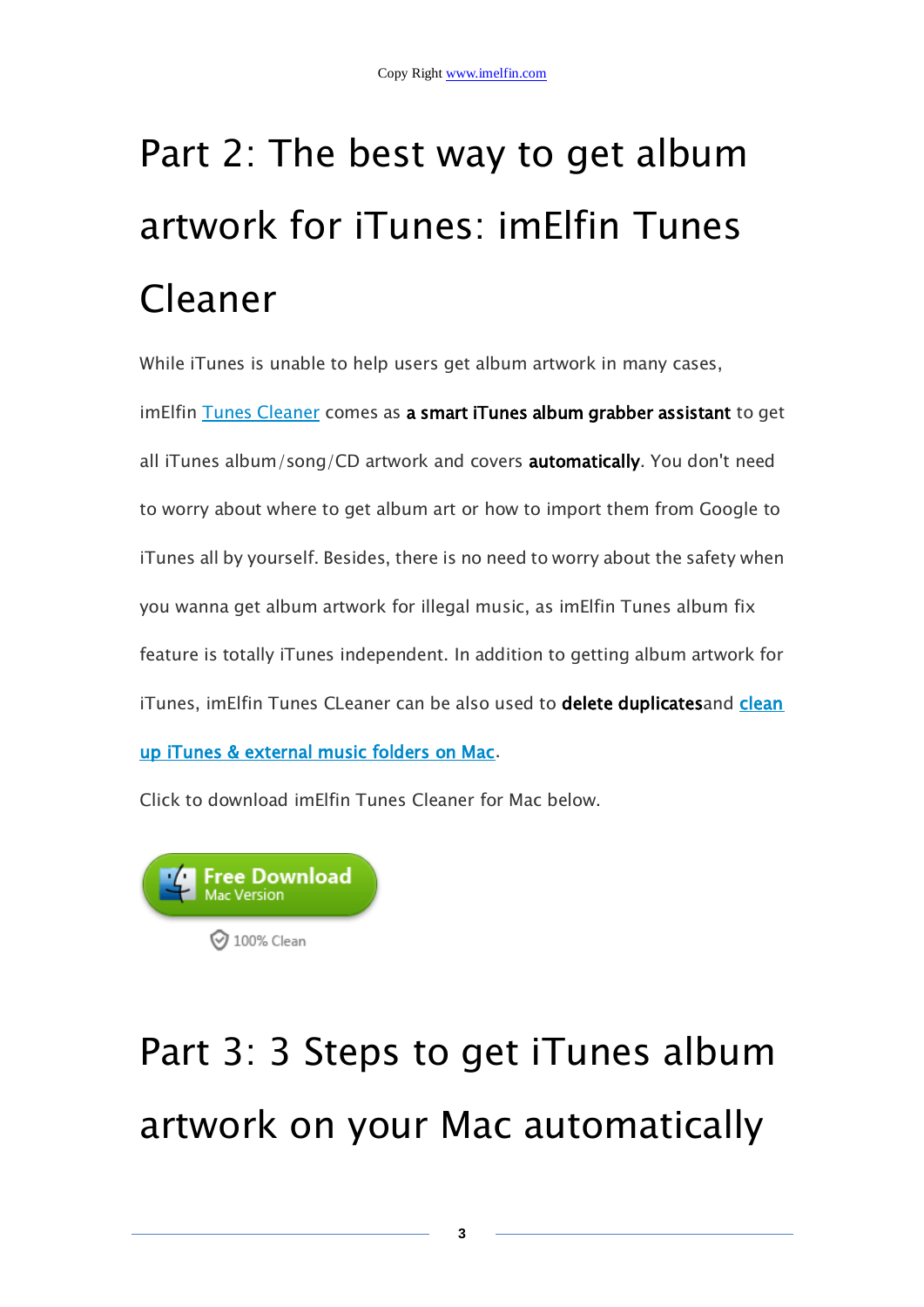# Part 2: The best way to get album artwork for iTunes: imElfin Tunes Cleaner

While iTunes is unable to help users get album artwork in many cases,

imElfin [Tunes Cleaner](http://www.imelfin.com/mac-tunes-cleaner.html) comes as a smart iTunes album grabber assistant to get all iTunes album/song/CD artwork and covers automatically. You don't need to worry about where to get album art or how to import them from Google to iTunes all by yourself. Besides, there is no need to worry about the safety when you wanna get album artwork for illegal music, as imElfin Tunes album fix feature is totally iTunes independent. In addition to getting album artwork for iTunes, imElfin Tunes CLeaner can be also used to delete duplicatesand clean [up iTunes & external music folders on Mac.](http://www.imelfin.com/how-to-clean-up-itunes-library-on-mac.html)

Click to download imElfin Tunes Cleaner for Mac below.



## Part 3: 3 Steps to get iTunes album artwork on your Mac automatically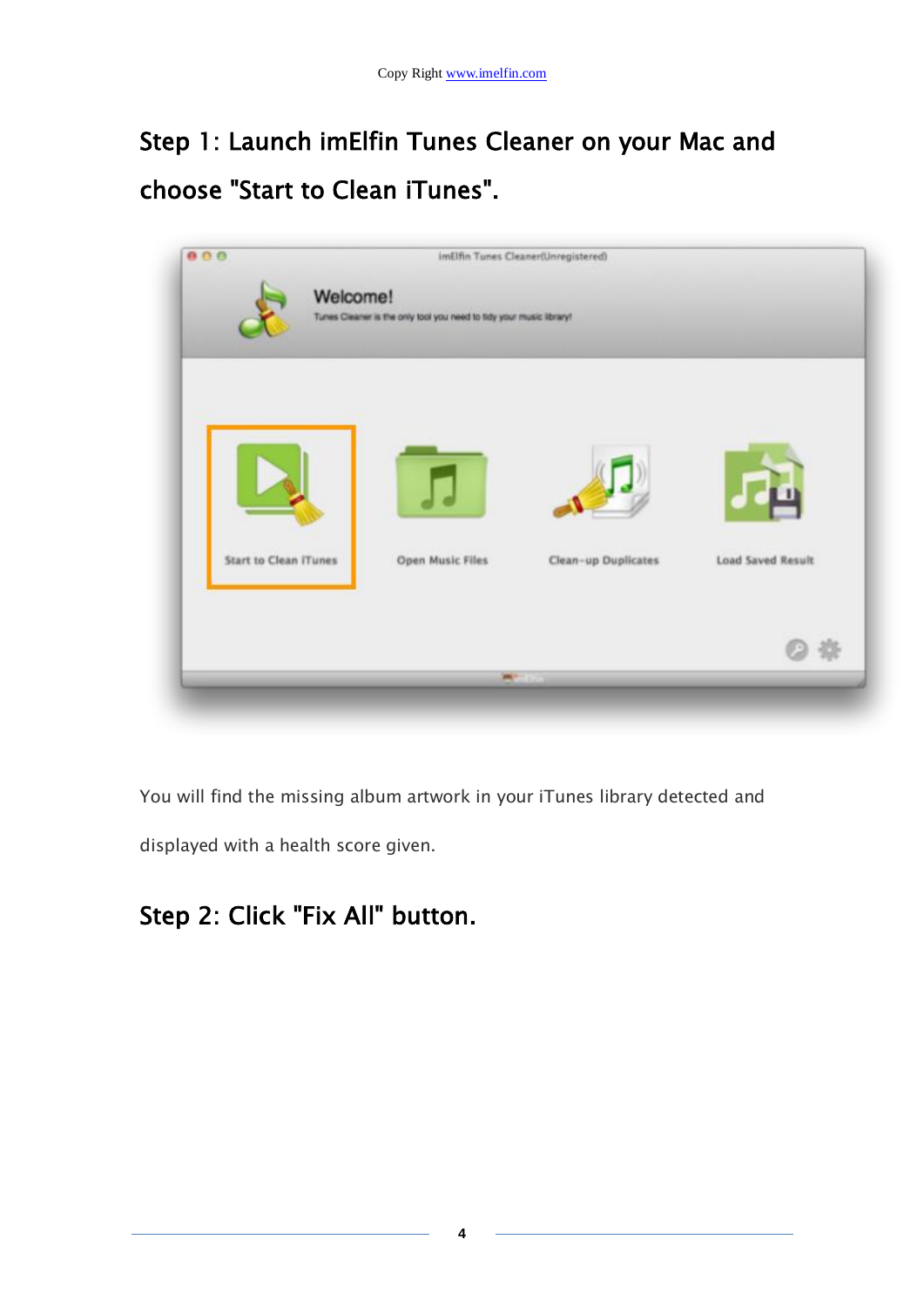#### Step 1: Launch imElfin Tunes Cleaner on your Mac and choose "Start to Clean iTunes".



You will find the missing album artwork in your iTunes library detected and

displayed with a health score given.

#### Step 2: Click "Fix All" button.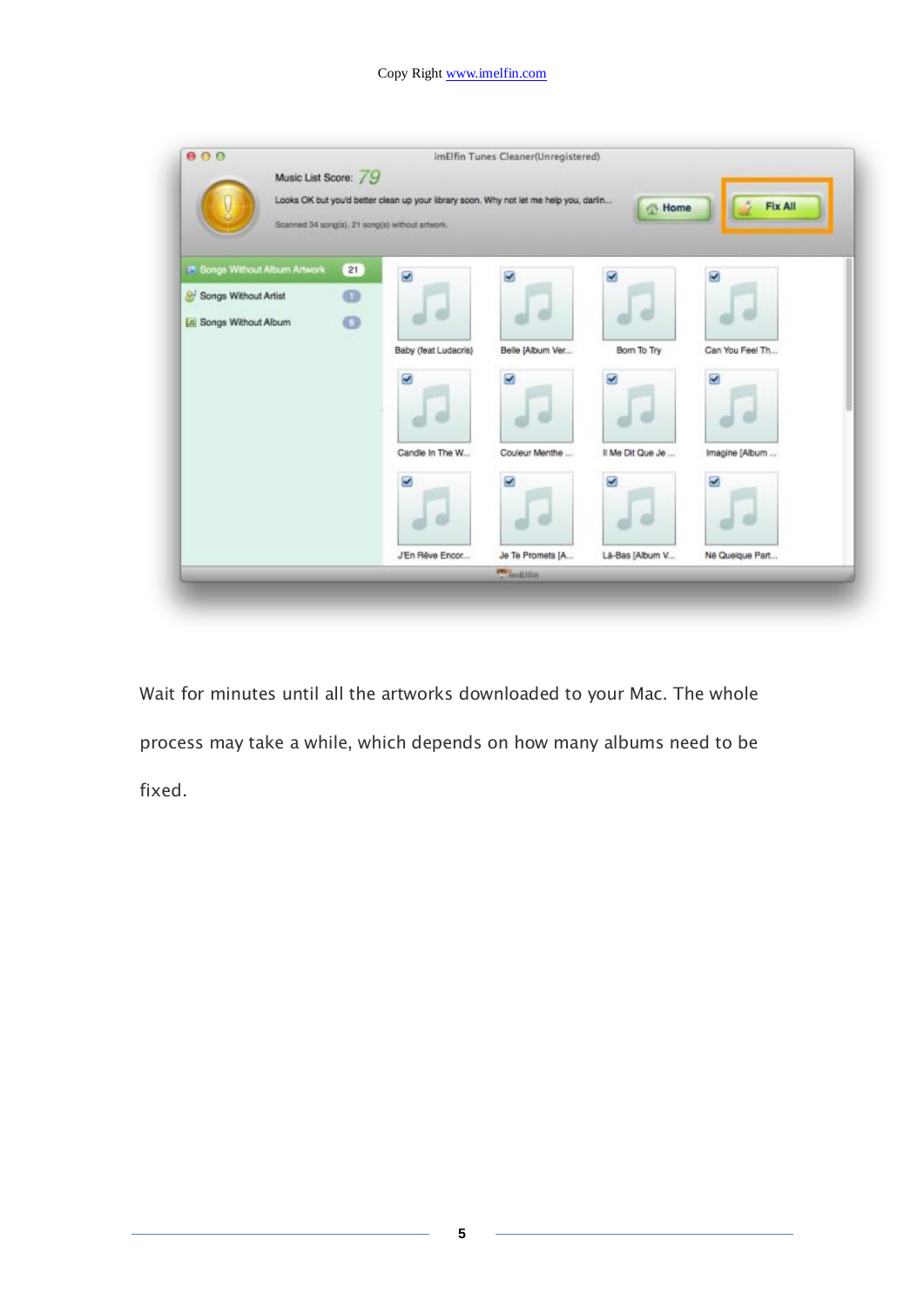| 000                                          |                                                                                                                                          | imElfin Tunes Cleaner(Unregistered) |                  |                 |
|----------------------------------------------|------------------------------------------------------------------------------------------------------------------------------------------|-------------------------------------|------------------|-----------------|
| Music List Score: 79                         | Looks OK but you'd better clean up your library soon. Why not let me help you, darlin<br>Scanned 34 song(s), 21 song(s) without artwork. |                                     | Home             | Fix All         |
| P Songs Without Album Artwork<br>21          | ø                                                                                                                                        | z                                   | и                | M               |
| $\circ$<br><sup>2</sup> Songs Without Artist |                                                                                                                                          |                                     |                  |                 |
| $\bullet$<br>[n] Songs Without Album         |                                                                                                                                          |                                     |                  |                 |
|                                              | Baby (feat Ludacris)                                                                                                                     | Belle [Album Ver                    | Bom To Try       | Can You Feel Th |
|                                              | z                                                                                                                                        | z                                   | z                | z               |
|                                              | Candle In The W                                                                                                                          | Couleur Menthe                      | Il Me Dit Que Je | Imagine [Album  |
|                                              | z                                                                                                                                        | z                                   | z                | z               |
|                                              | J'En Rêve Encor                                                                                                                          | Je Te Promets [A                    | La-Bas [Album V  | Né Queique Part |
|                                              |                                                                                                                                          | <b>Philadelphia</b>                 |                  |                 |

Wait for minutes until all the artworks downloaded to your Mac. The whole process may take a while, which depends on how many albums need to be fixed.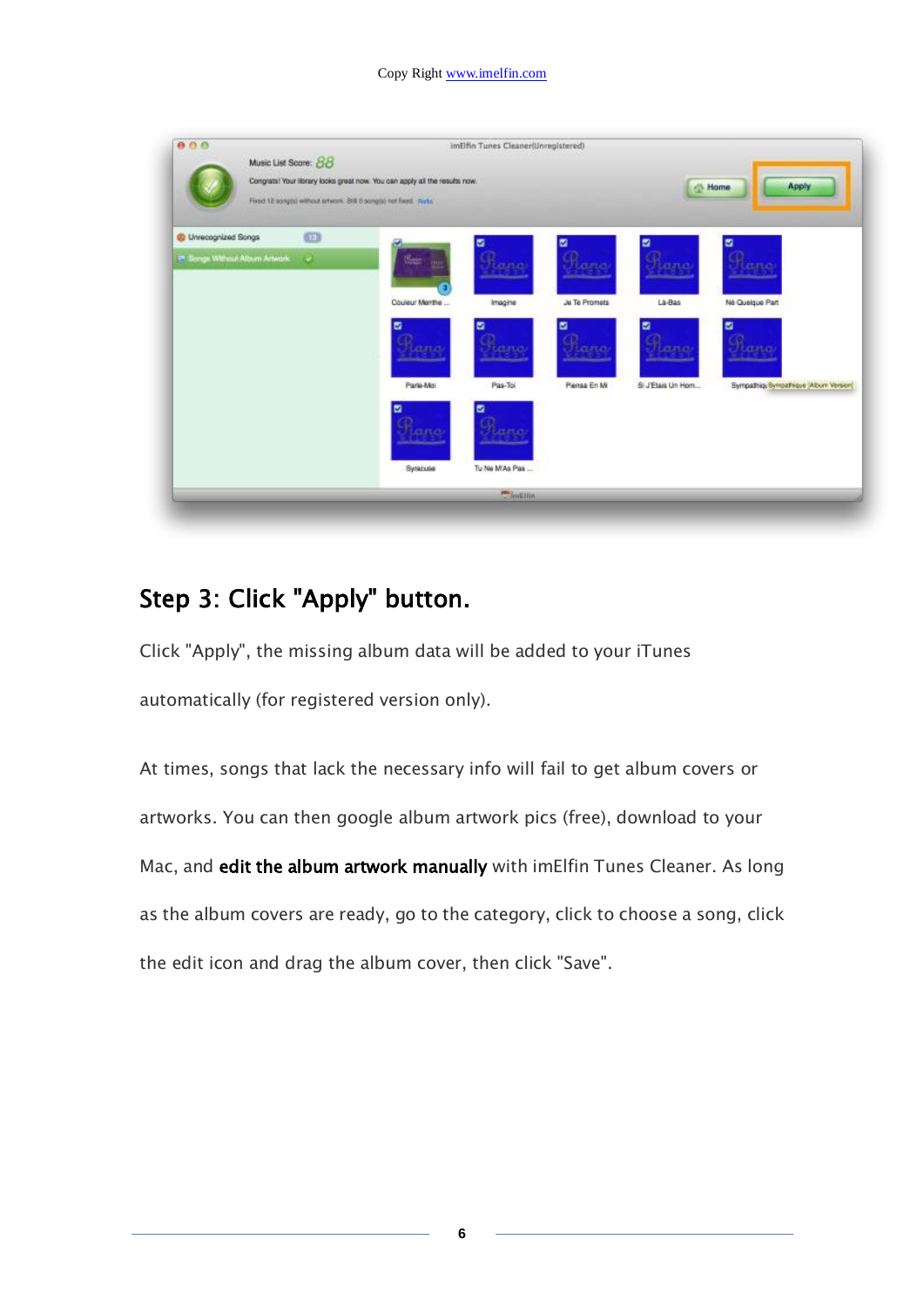| 000                                   |    |                                                                            | ImElfin Tunes Cleaner(Unregistered)<br>ite doving |               |                   |                                        |
|---------------------------------------|----|----------------------------------------------------------------------------|---------------------------------------------------|---------------|-------------------|----------------------------------------|
| Music List Score: 88                  |    | Congrats! Your library looks great now. You can apply all the results now. |                                                   |               |                   |                                        |
|                                       |    | Fixed 12 songtid without artwork. Still D songtid not fixed. Rista.        |                                                   |               |                   | Apply<br><sup>N</sup> Home             |
| C Unrecognized Songs                  | 69 |                                                                            |                                                   | ø             | ø                 |                                        |
| <b>In Songs Without Album Artwork</b> | G. | n.                                                                         | ano                                               | ana           | ano               |                                        |
|                                       |    | Couleur Marthe                                                             | Imagine                                           | Jo Te Promets | Là-Bas            | Né Quelque Part                        |
|                                       |    | v                                                                          |                                                   |               | v                 |                                        |
|                                       |    | ana                                                                        | ana.                                              | ana           | ana               | nno.                                   |
|                                       |    | Parle-Mol                                                                  | Pas-Toi                                           | Piensa En Mi  | Si J'Etais Un Hom | Sympathiq: Sympathique (Album Version) |
|                                       |    | M<br>ana                                                                   | rtanat                                            |               |                   |                                        |
|                                       |    |                                                                            |                                                   |               |                   |                                        |
|                                       |    | Syracuse                                                                   | Tu Ne MAs Pas                                     |               |                   |                                        |
|                                       |    |                                                                            | <b>Chinkinn</b>                                   |               |                   |                                        |

#### Step 3: Click "Apply" button.

Click "Apply", the missing album data will be added to your iTunes automatically (for registered version only).

At times, songs that lack the necessary info will fail to get album covers or artworks. You can then google album artwork pics (free), download to your Mac, and edit the album artwork manually with imElfin Tunes Cleaner. As long as the album covers are ready, go to the category, click to choose a song, click the edit icon and drag the album cover, then click "Save".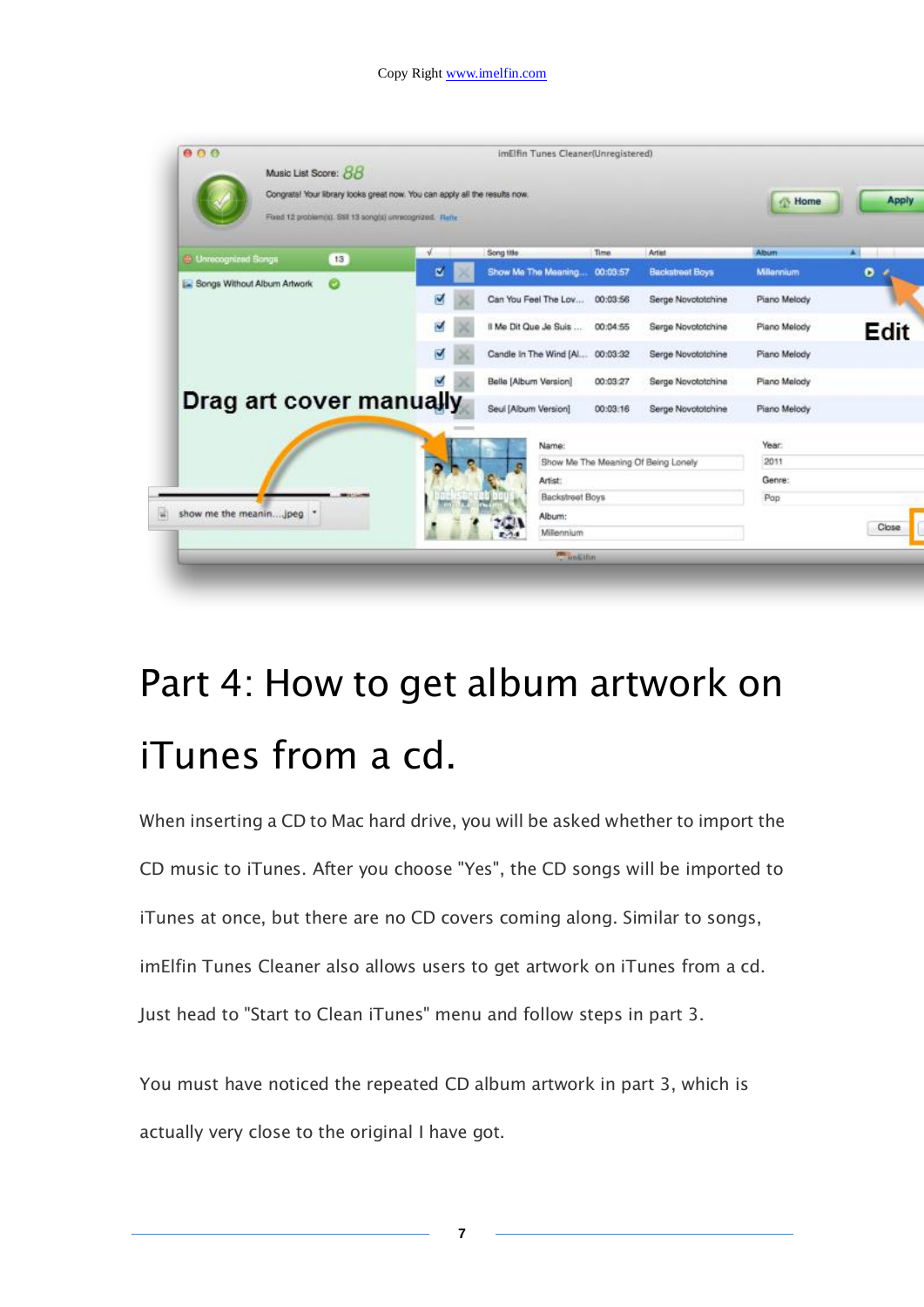| 000                                  |                                                                                                                                          | imElfin Tunes Cleaner(Unregistered) |                                     |                        |                  |        |
|--------------------------------------|------------------------------------------------------------------------------------------------------------------------------------------|-------------------------------------|-------------------------------------|------------------------|------------------|--------|
| Music List Score: 88                 | Congrate! Your library looks great now. You can apply all the results now.<br>Fixed 12 problem(s). Still 13 song(s) unrecognized. Refix: |                                     |                                     |                        | <b>Nome</b>      | Apply  |
| <sup>2</sup> Unnecegnized Songs      | -J<br>13                                                                                                                                 | Song title                          | Time.                               | Artist                 | Abum             | $\sim$ |
| <b>E Songs Without Album Artwork</b> | ø<br>e                                                                                                                                   | Show Me The Meaning                 | 00:03.57                            | <b>Backstreet Boys</b> | <b>Milennium</b> | ۰      |
|                                      | ø                                                                                                                                        | Can You Feel The Lov                | 00:03:56                            | Serge Novototchine     | Piano Melody     |        |
|                                      | z                                                                                                                                        | Il Me Dit Que Je Suis               | 00:04:55                            | Serge Novototchine     | Piano Melody     | Edit   |
|                                      | M                                                                                                                                        | Candle In The Wind [Al 00:03:32     |                                     | Serge Novototchine     | Piano Melody     |        |
|                                      |                                                                                                                                          | Belle [Album Version]               | 00:03:27                            | Serge Novototchine     | Piano Melody     |        |
| Drag art cover manually              |                                                                                                                                          | Seul [Album Version]                | 00:03:16                            | Serge Novototchine     | Piano Melody     |        |
|                                      |                                                                                                                                          | Name:                               |                                     |                        | Year:            |        |
|                                      |                                                                                                                                          |                                     | Show Me The Meaning Of Being Lonely |                        | 2011             |        |
|                                      |                                                                                                                                          | Artist:                             |                                     |                        | Genre:           |        |
|                                      |                                                                                                                                          |                                     | <b>Backstreet Boys</b>              |                        | Pap              |        |
| show me the meanin jpeg .            |                                                                                                                                          | Album:                              |                                     |                        |                  |        |
|                                      |                                                                                                                                          | Millennium                          |                                     |                        |                  | Close  |
|                                      |                                                                                                                                          |                                     | <b>COLLEGE</b>                      |                        |                  |        |

## Part 4: How to get album artwork on iTunes from a cd.

When inserting a CD to Mac hard drive, you will be asked whether to import the CD music to iTunes. After you choose "Yes", the CD songs will be imported to iTunes at once, but there are no CD covers coming along. Similar to songs, imElfin Tunes Cleaner also allows users to get artwork on iTunes from a cd. Just head to "Start to Clean iTunes" menu and follow steps in part 3.

You must have noticed the repeated CD album artwork in part 3, which is actually very close to the original I have got.